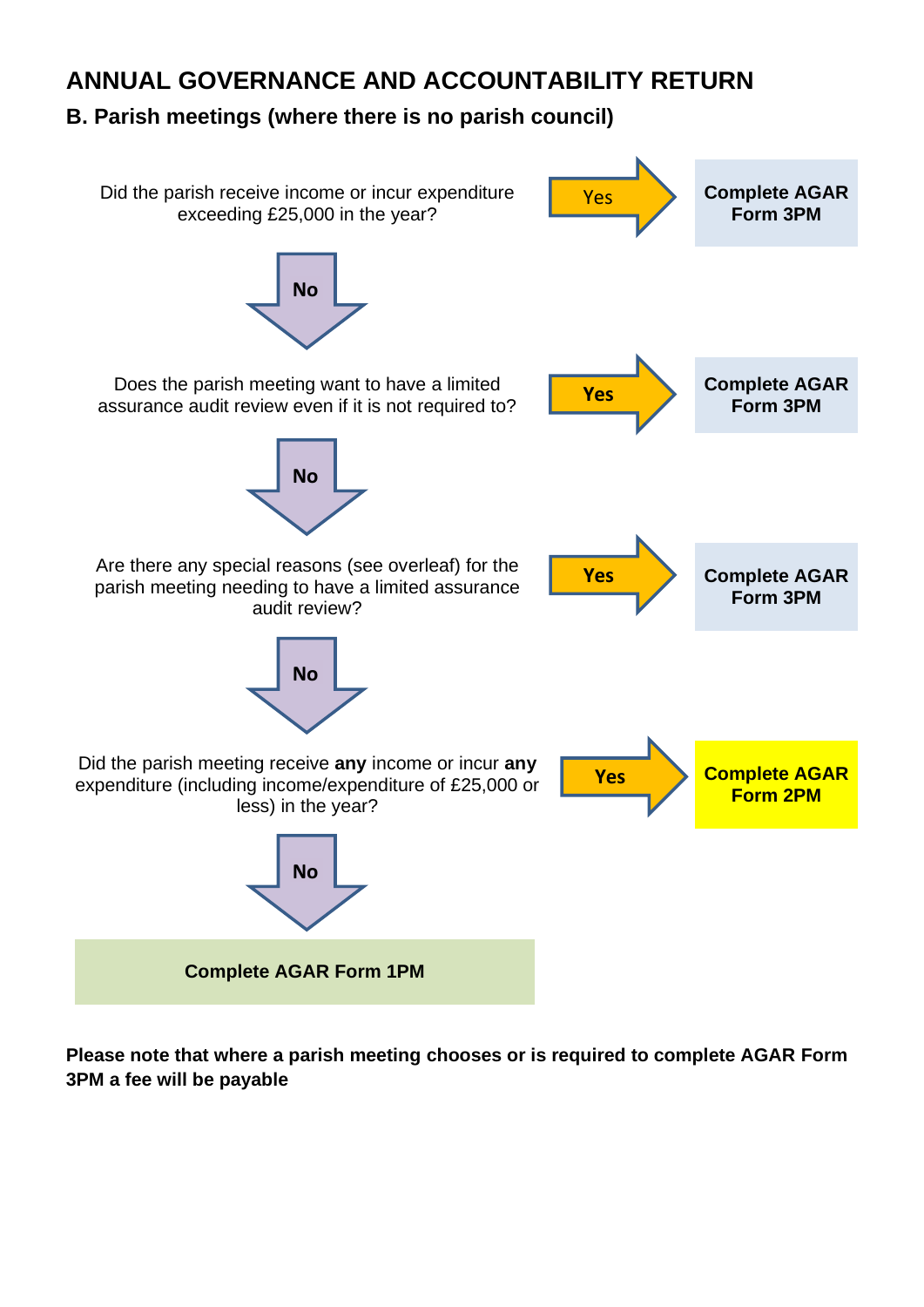# **ANNUAL GOVERNANCE AND ACCOUNTABILITY RETURN**

# **B. Parish meetings (where there is no parish council)**



**Please note that where a parish meeting chooses or is required to complete AGAR Form 3PM a fee will be payable**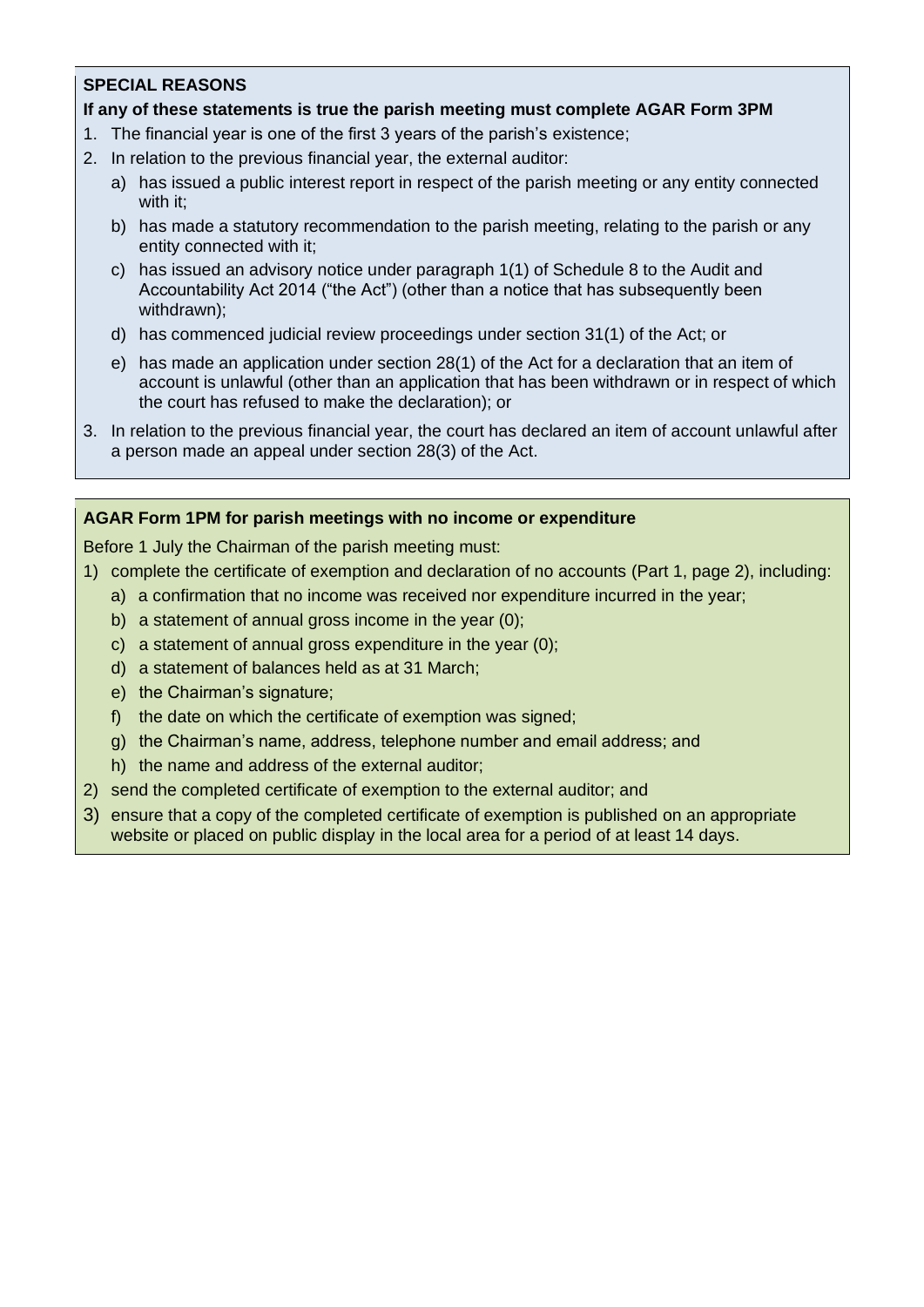# **SPECIAL REASONS**

### **If any of these statements is true the parish meeting must complete AGAR Form 3PM**

- 1. The financial year is one of the first 3 years of the parish's existence;
- 2. In relation to the previous financial year, the external auditor:
	- a) has issued a public interest report in respect of the parish meeting or any entity connected with it;
	- b) has made a statutory recommendation to the parish meeting, relating to the parish or any entity connected with it;
	- c) has issued an advisory notice under paragraph 1(1) of Schedule 8 to the Audit and Accountability Act 2014 ("the Act") (other than a notice that has subsequently been withdrawn);
	- d) has commenced judicial review proceedings under section 31(1) of the Act; or
	- e) has made an application under section 28(1) of the Act for a declaration that an item of account is unlawful (other than an application that has been withdrawn or in respect of which the court has refused to make the declaration); or
- 3. In relation to the previous financial year, the court has declared an item of account unlawful after a person made an appeal under section 28(3) of the Act.

#### **AGAR Form 1PM for parish meetings with no income or expenditure**

Before 1 July the Chairman of the parish meeting must:

- 1) complete the certificate of exemption and declaration of no accounts (Part 1, page 2), including:
	- a) a confirmation that no income was received nor expenditure incurred in the year;
		- b) a statement of annual gross income in the year (0);
		- c) a statement of annual gross expenditure in the year (0);
	- d) a statement of balances held as at 31 March;
	- e) the Chairman's signature;
	- f) the date on which the certificate of exemption was signed;
	- g) the Chairman's name, address, telephone number and email address; and
	- h) the name and address of the external auditor;
- 2) send the completed certificate of exemption to the external auditor; and
- 3) ensure that a copy of the completed certificate of exemption is published on an appropriate website or placed on public display in the local area for a period of at least 14 days.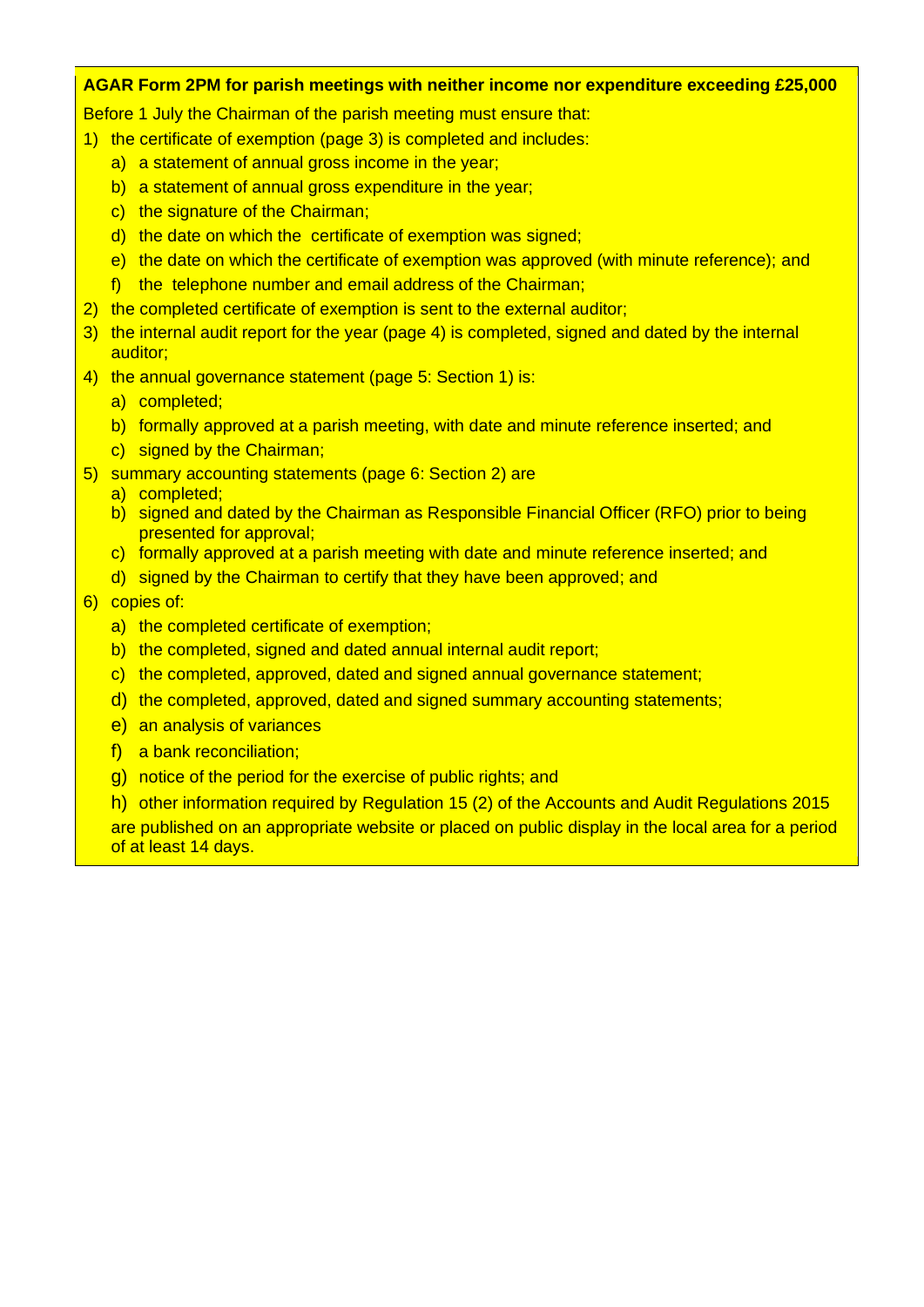#### **AGAR Form 2PM for parish meetings with neither income nor expenditure exceeding £25,000**

Before 1 July the Chairman of the parish meeting must ensure that:

- 1) the certificate of exemption (page 3) is completed and includes:
	- a) a statement of annual gross income in the year;
	- b) a statement of annual gross expenditure in the year;
	- c) the signature of the Chairman;
	- d) the date on which the certificate of exemption was signed;
	- e) the date on which the certificate of exemption was approved (with minute reference); and
	- f) the telephone number and email address of the Chairman;
- 2) the completed certificate of exemption is sent to the external auditor;
- 3) the internal audit report for the year (page 4) is completed, signed and dated by the internal auditor;
- 4) the annual governance statement (page 5: Section 1) is:
	- a) completed;
	- b) formally approved at a parish meeting, with date and minute reference inserted; and
	- c) signed by the Chairman;
- 5) summary accounting statements (page 6: Section 2) are
	- a) completed;
	- b) signed and dated by the Chairman as Responsible Financial Officer (RFO) prior to being presented for approval;
	- c) formally approved at a parish meeting with date and minute reference inserted; and
	- d) signed by the Chairman to certify that they have been approved; and

### 6) copies of:

- a) the completed certificate of exemption;
- b) the completed, signed and dated annual internal audit report;
- c) the completed, approved, dated and signed annual governance statement;
- d) the completed, approved, dated and signed summary accounting statements;
- e) an analysis of variances
- f) a bank reconciliation;
- g) notice of the period for the exercise of public rights; and

h) other information required by Regulation 15 (2) of the Accounts and Audit Regulations 2015 are published on an appropriate website or placed on public display in the local area for a period of at least 14 days.